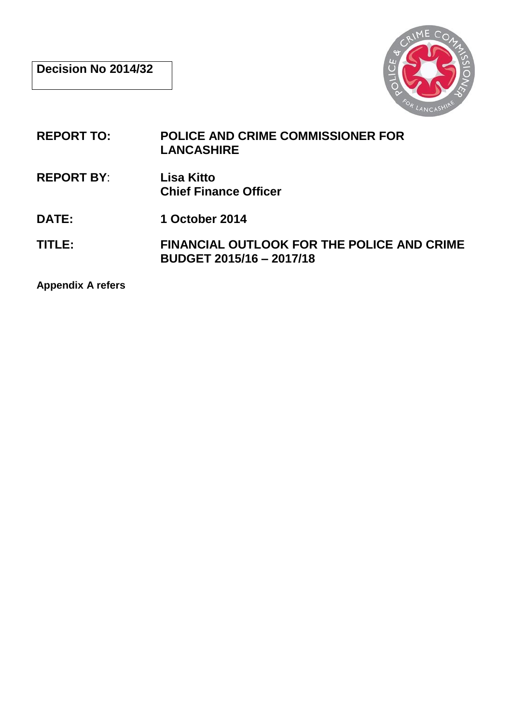

- **REPORT TO: POLICE AND CRIME COMMISSIONER FOR LANCASHIRE**
- **REPORT BY**: **Lisa Kitto Chief Finance Officer**
- **DATE: 1 October 2014**
- **TITLE: FINANCIAL OUTLOOK FOR THE POLICE AND CRIME BUDGET 2015/16 – 2017/18**

**Appendix A refers**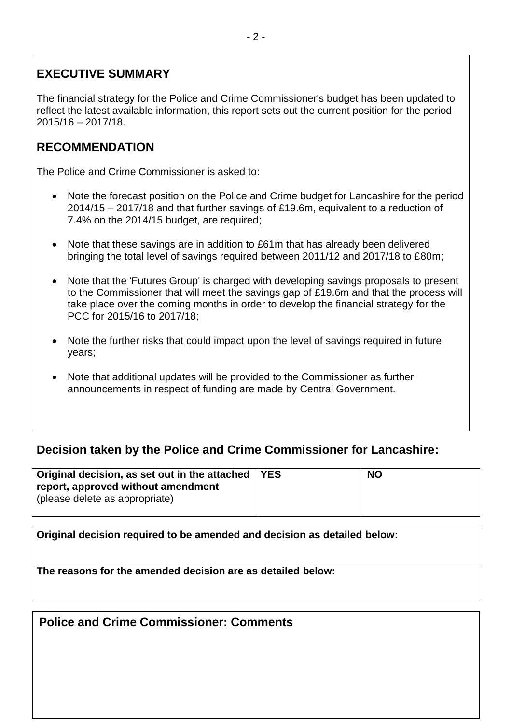# **EXECUTIVE SUMMARY**

The financial strategy for the Police and Crime Commissioner's budget has been updated to reflect the latest available information, this report sets out the current position for the period 2015/16 – 2017/18.

# **RECOMMENDATION**

The Police and Crime Commissioner is asked to:

- Note the forecast position on the Police and Crime budget for Lancashire for the period 2014/15 – 2017/18 and that further savings of £19.6m, equivalent to a reduction of 7.4% on the 2014/15 budget, are required;
- Note that these savings are in addition to £61m that has already been delivered bringing the total level of savings required between 2011/12 and 2017/18 to £80m;
- Note that the 'Futures Group' is charged with developing savings proposals to present to the Commissioner that will meet the savings gap of £19.6m and that the process will take place over the coming months in order to develop the financial strategy for the PCC for 2015/16 to 2017/18;
- Note the further risks that could impact upon the level of savings required in future years;
- Note that additional updates will be provided to the Commissioner as further announcements in respect of funding are made by Central Government.

# **Decision taken by the Police and Crime Commissioner for Lancashire:**

| Original decision, as set out in the attached   YES<br>report, approved without amendment<br>(please delete as appropriate) | <b>NO</b> |
|-----------------------------------------------------------------------------------------------------------------------------|-----------|
|                                                                                                                             |           |

**Original decision required to be amended and decision as detailed below:**

**The reasons for the amended decision are as detailed below:**

# **Police and Crime Commissioner: Comments**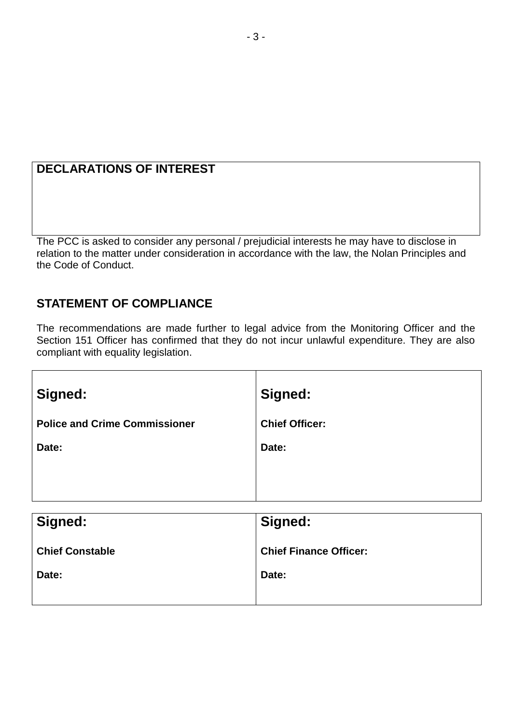# **DECLARATIONS OF INTEREST**

The PCC is asked to consider any personal / prejudicial interests he may have to disclose in relation to the matter under consideration in accordance with the law, the Nolan Principles and the Code of Conduct.

# **STATEMENT OF COMPLIANCE**

The recommendations are made further to legal advice from the Monitoring Officer and the Section 151 Officer has confirmed that they do not incur unlawful expenditure. They are also compliant with equality legislation.

| Signed:                              | Signed:               |
|--------------------------------------|-----------------------|
| <b>Police and Crime Commissioner</b> | <b>Chief Officer:</b> |
| Date:                                | Date:                 |
|                                      |                       |
|                                      |                       |

| Signed:                | Signed:                       |
|------------------------|-------------------------------|
| <b>Chief Constable</b> | <b>Chief Finance Officer:</b> |
| Date:                  | Date:                         |
|                        |                               |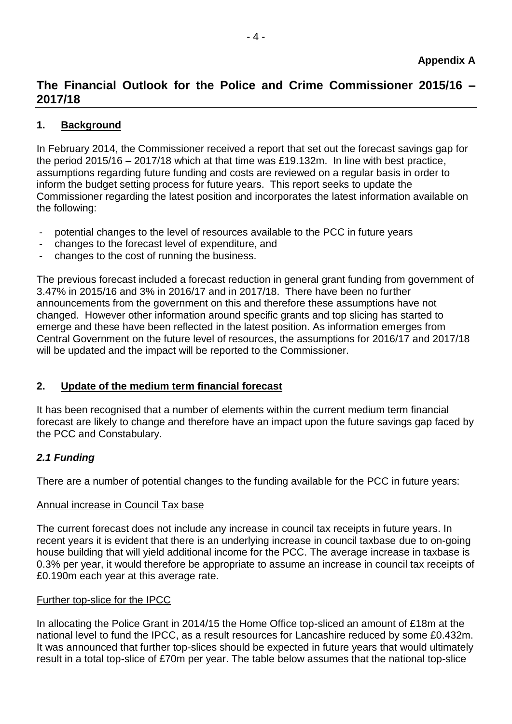# **The Financial Outlook for the Police and Crime Commissioner 2015/16 – 2017/18**

# **1. Background**

In February 2014, the Commissioner received a report that set out the forecast savings gap for the period 2015/16 – 2017/18 which at that time was £19.132m. In line with best practice, assumptions regarding future funding and costs are reviewed on a regular basis in order to inform the budget setting process for future years. This report seeks to update the Commissioner regarding the latest position and incorporates the latest information available on the following:

- potential changes to the level of resources available to the PCC in future years
- changes to the forecast level of expenditure, and
- changes to the cost of running the business.

The previous forecast included a forecast reduction in general grant funding from government of 3.47% in 2015/16 and 3% in 2016/17 and in 2017/18. There have been no further announcements from the government on this and therefore these assumptions have not changed. However other information around specific grants and top slicing has started to emerge and these have been reflected in the latest position. As information emerges from Central Government on the future level of resources, the assumptions for 2016/17 and 2017/18 will be updated and the impact will be reported to the Commissioner.

# **2. Update of the medium term financial forecast**

It has been recognised that a number of elements within the current medium term financial forecast are likely to change and therefore have an impact upon the future savings gap faced by the PCC and Constabulary.

# *2.1 Funding*

There are a number of potential changes to the funding available for the PCC in future years:

# Annual increase in Council Tax base

The current forecast does not include any increase in council tax receipts in future years. In recent years it is evident that there is an underlying increase in council taxbase due to on-going house building that will yield additional income for the PCC. The average increase in taxbase is 0.3% per year, it would therefore be appropriate to assume an increase in council tax receipts of £0.190m each year at this average rate.

# Further top-slice for the IPCC

In allocating the Police Grant in 2014/15 the Home Office top-sliced an amount of £18m at the national level to fund the IPCC, as a result resources for Lancashire reduced by some £0.432m. It was announced that further top-slices should be expected in future years that would ultimately result in a total top-slice of £70m per year. The table below assumes that the national top-slice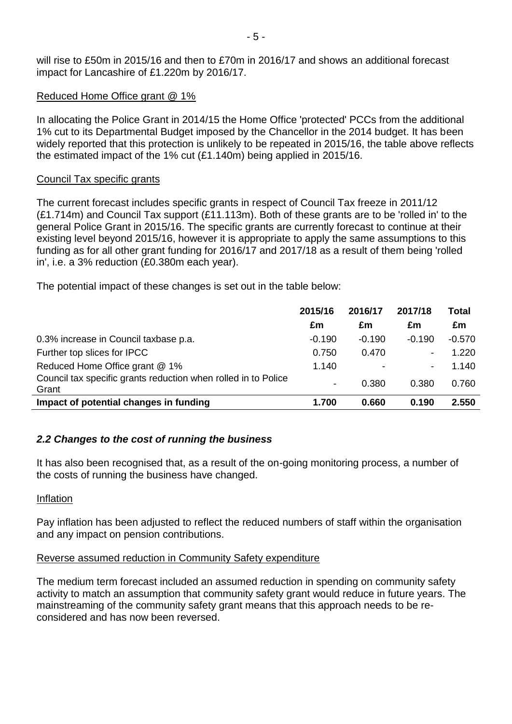will rise to £50m in 2015/16 and then to £70m in 2016/17 and shows an additional forecast impact for Lancashire of £1.220m by 2016/17.

#### Reduced Home Office grant @ 1%

In allocating the Police Grant in 2014/15 the Home Office 'protected' PCCs from the additional 1% cut to its Departmental Budget imposed by the Chancellor in the 2014 budget. It has been widely reported that this protection is unlikely to be repeated in 2015/16, the table above reflects the estimated impact of the 1% cut (£1.140m) being applied in 2015/16.

#### Council Tax specific grants

The current forecast includes specific grants in respect of Council Tax freeze in 2011/12 (£1.714m) and Council Tax support (£11.113m). Both of these grants are to be 'rolled in' to the general Police Grant in 2015/16. The specific grants are currently forecast to continue at their existing level beyond 2015/16, however it is appropriate to apply the same assumptions to this funding as for all other grant funding for 2016/17 and 2017/18 as a result of them being 'rolled in', i.e. a 3% reduction (£0.380m each year).

The potential impact of these changes is set out in the table below:

|                                                                         | 2015/16                  | 2016/17        | 2017/18  | Total    |
|-------------------------------------------------------------------------|--------------------------|----------------|----------|----------|
|                                                                         | £m                       | £m             | £m       | £m       |
| 0.3% increase in Council taxbase p.a.                                   | $-0.190$                 | $-0.190$       | $-0.190$ | $-0.570$ |
| Further top slices for IPCC                                             | 0.750                    | 0.470          |          | 1.220    |
| Reduced Home Office grant @ 1%                                          | 1.140                    | $\blacksquare$ |          | 1.140    |
| Council tax specific grants reduction when rolled in to Police<br>Grant | $\overline{\phantom{a}}$ | 0.380          | 0.380    | 0.760    |
| Impact of potential changes in funding                                  | 1.700                    | 0.660          | 0.190    | 2.550    |

# *2.2 Changes to the cost of running the business*

It has also been recognised that, as a result of the on-going monitoring process, a number of the costs of running the business have changed.

#### Inflation

Pay inflation has been adjusted to reflect the reduced numbers of staff within the organisation and any impact on pension contributions.

# Reverse assumed reduction in Community Safety expenditure

The medium term forecast included an assumed reduction in spending on community safety activity to match an assumption that community safety grant would reduce in future years. The mainstreaming of the community safety grant means that this approach needs to be reconsidered and has now been reversed.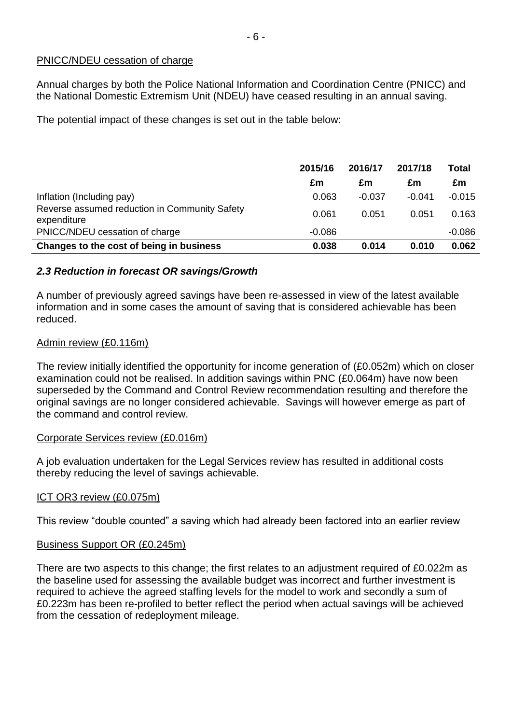### PNICC/NDEU cessation of charge

Annual charges by both the Police National Information and Coordination Centre (PNICC) and the National Domestic Extremism Unit (NDEU) have ceased resulting in an annual saving.

The potential impact of these changes is set out in the table below:

|                                                              | 2015/16  | 2016/17  | 2017/18  | Total    |
|--------------------------------------------------------------|----------|----------|----------|----------|
|                                                              | £m       | £m       | £m       | £m       |
| Inflation (Including pay)                                    | 0.063    | $-0.037$ | $-0.041$ | $-0.015$ |
| Reverse assumed reduction in Community Safety<br>expenditure | 0.061    | 0.051    | 0.051    | 0.163    |
| PNICC/NDEU cessation of charge                               | $-0.086$ |          |          | $-0.086$ |
| Changes to the cost of being in business                     | 0.038    | 0.014    | 0.010    | 0.062    |

# *2.3 Reduction in forecast OR savings/Growth*

A number of previously agreed savings have been re-assessed in view of the latest available information and in some cases the amount of saving that is considered achievable has been reduced.

#### Admin review (£0.116m)

The review initially identified the opportunity for income generation of (£0.052m) which on closer examination could not be realised. In addition savings within PNC (£0.064m) have now been superseded by the Command and Control Review recommendation resulting and therefore the original savings are no longer considered achievable. Savings will however emerge as part of the command and control review.

# Corporate Services review (£0.016m)

A job evaluation undertaken for the Legal Services review has resulted in additional costs thereby reducing the level of savings achievable.

# ICT OR3 review (£0.075m)

This review "double counted" a saving which had already been factored into an earlier review

#### Business Support OR (£0.245m)

There are two aspects to this change; the first relates to an adjustment required of £0.022m as the baseline used for assessing the available budget was incorrect and further investment is required to achieve the agreed staffing levels for the model to work and secondly a sum of £0.223m has been re-profiled to better reflect the period when actual savings will be achieved from the cessation of redeployment mileage.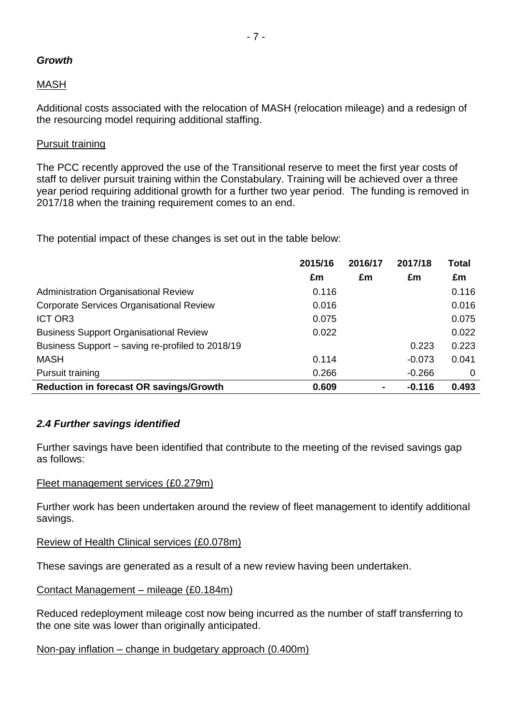# *Growth*

# MASH

Additional costs associated with the relocation of MASH (relocation mileage) and a redesign of the resourcing model requiring additional staffing.

#### Pursuit training

The PCC recently approved the use of the Transitional reserve to meet the first year costs of staff to deliver pursuit training within the Constabulary. Training will be achieved over a three year period requiring additional growth for a further two year period. The funding is removed in 2017/18 when the training requirement comes to an end.

The potential impact of these changes is set out in the table below:

|                                                  | 2015/16 | 2016/17        | 2017/18  | <b>Total</b> |
|--------------------------------------------------|---------|----------------|----------|--------------|
|                                                  | £m      | £m             | £m       | £m           |
| Administration Organisational Review             | 0.116   |                |          | 0.116        |
| <b>Corporate Services Organisational Review</b>  | 0.016   |                |          | 0.016        |
| ICT OR3                                          | 0.075   |                |          | 0.075        |
| <b>Business Support Organisational Review</b>    | 0.022   |                |          | 0.022        |
| Business Support - saving re-profiled to 2018/19 |         |                | 0.223    | 0.223        |
| <b>MASH</b>                                      | 0.114   |                | $-0.073$ | 0.041        |
| Pursuit training                                 | 0.266   |                | $-0.266$ | 0            |
| <b>Reduction in forecast OR savings/Growth</b>   | 0.609   | $\blacksquare$ | $-0.116$ | 0.493        |

# *2.4 Further savings identified*

Further savings have been identified that contribute to the meeting of the revised savings gap as follows:

#### Fleet management services (£0.279m)

Further work has been undertaken around the review of fleet management to identify additional savings.

# Review of Health Clinical services (£0.078m)

These savings are generated as a result of a new review having been undertaken.

#### Contact Management – mileage (£0.184m)

Reduced redeployment mileage cost now being incurred as the number of staff transferring to the one site was lower than originally anticipated.

# Non-pay inflation – change in budgetary approach (0.400m)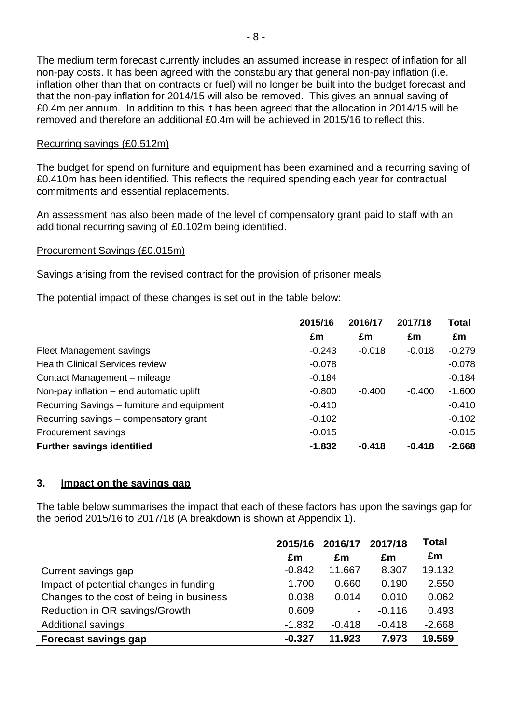The medium term forecast currently includes an assumed increase in respect of inflation for all non-pay costs. It has been agreed with the constabulary that general non-pay inflation (i.e. inflation other than that on contracts or fuel) will no longer be built into the budget forecast and that the non-pay inflation for 2014/15 will also be removed. This gives an annual saving of £0.4m per annum. In addition to this it has been agreed that the allocation in 2014/15 will be removed and therefore an additional £0.4m will be achieved in 2015/16 to reflect this.

### Recurring savings (£0.512m)

The budget for spend on furniture and equipment has been examined and a recurring saving of £0.410m has been identified. This reflects the required spending each year for contractual commitments and essential replacements.

An assessment has also been made of the level of compensatory grant paid to staff with an additional recurring saving of £0.102m being identified.

### Procurement Savings (£0.015m)

Savings arising from the revised contract for the provision of prisoner meals

The potential impact of these changes is set out in the table below:

|                                             | 2015/16  | 2016/17  | 2017/18  | <b>Total</b> |
|---------------------------------------------|----------|----------|----------|--------------|
|                                             | £m       | £m       | £m       | £m           |
| Fleet Management savings                    | $-0.243$ | $-0.018$ | $-0.018$ | $-0.279$     |
| <b>Health Clinical Services review</b>      | $-0.078$ |          |          | $-0.078$     |
| Contact Management - mileage                | $-0.184$ |          |          | $-0.184$     |
| Non-pay inflation – end automatic uplift    | $-0.800$ | $-0.400$ | $-0.400$ | $-1.600$     |
| Recurring Savings - furniture and equipment | $-0.410$ |          |          | $-0.410$     |
| Recurring savings – compensatory grant      | $-0.102$ |          |          | $-0.102$     |
| Procurement savings                         | $-0.015$ |          |          | $-0.015$     |
| <b>Further savings identified</b>           | $-1.832$ | $-0.418$ | $-0.418$ | $-2.668$     |

#### **3. Impact on the savings gap**

The table below summarises the impact that each of these factors has upon the savings gap for the period 2015/16 to 2017/18 (A breakdown is shown at Appendix 1).

|                                          | 2015/16  | 2016/17  | 2017/18  | <b>Total</b> |
|------------------------------------------|----------|----------|----------|--------------|
|                                          | £m       | £m       | £m       | £m           |
| Current savings gap                      | $-0.842$ | 11.667   | 8.307    | 19.132       |
| Impact of potential changes in funding   | 1.700    | 0.660    | 0.190    | 2.550        |
| Changes to the cost of being in business | 0.038    | 0.014    | 0.010    | 0.062        |
| Reduction in OR savings/Growth           | 0.609    | -        | $-0.116$ | 0.493        |
| <b>Additional savings</b>                | $-1.832$ | $-0.418$ | $-0.418$ | $-2.668$     |
| <b>Forecast savings gap</b>              | $-0.327$ | 11.923   | 7.973    | 19.569       |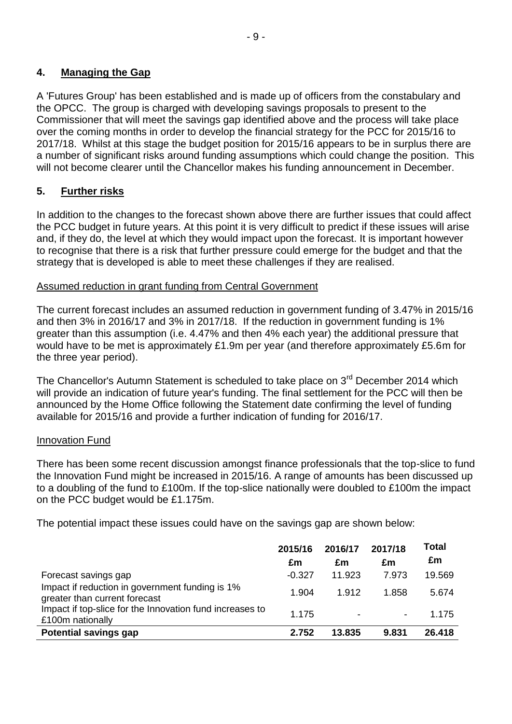# **4. Managing the Gap**

A 'Futures Group' has been established and is made up of officers from the constabulary and the OPCC. The group is charged with developing savings proposals to present to the Commissioner that will meet the savings gap identified above and the process will take place over the coming months in order to develop the financial strategy for the PCC for 2015/16 to 2017/18. Whilst at this stage the budget position for 2015/16 appears to be in surplus there are a number of significant risks around funding assumptions which could change the position. This will not become clearer until the Chancellor makes his funding announcement in December.

# **5. Further risks**

In addition to the changes to the forecast shown above there are further issues that could affect the PCC budget in future years. At this point it is very difficult to predict if these issues will arise and, if they do, the level at which they would impact upon the forecast. It is important however to recognise that there is a risk that further pressure could emerge for the budget and that the strategy that is developed is able to meet these challenges if they are realised.

# Assumed reduction in grant funding from Central Government

The current forecast includes an assumed reduction in government funding of 3.47% in 2015/16 and then 3% in 2016/17 and 3% in 2017/18. If the reduction in government funding is 1% greater than this assumption (i.e. 4.47% and then 4% each year) the additional pressure that would have to be met is approximately £1.9m per year (and therefore approximately £5.6m for the three year period).

The Chancellor's Autumn Statement is scheduled to take place on 3<sup>rd</sup> December 2014 which will provide an indication of future year's funding. The final settlement for the PCC will then be announced by the Home Office following the Statement date confirming the level of funding available for 2015/16 and provide a further indication of funding for 2016/17.

# Innovation Fund

There has been some recent discussion amongst finance professionals that the top-slice to fund the Innovation Fund might be increased in 2015/16. A range of amounts has been discussed up to a doubling of the fund to £100m. If the top-slice nationally were doubled to £100m the impact on the PCC budget would be £1.175m.

The potential impact these issues could have on the savings gap are shown below:

|                                                                                  | 2015/16<br>£m | 2016/17<br>£m  | 2017/18<br>£m            | Total<br>£m |
|----------------------------------------------------------------------------------|---------------|----------------|--------------------------|-------------|
| Forecast savings gap                                                             | $-0.327$      | 11.923         | 7.973                    | 19.569      |
| Impact if reduction in government funding is 1%<br>greater than current forecast | 1.904         | 1.912          | 1.858                    | 5.674       |
| Impact if top-slice for the Innovation fund increases to<br>£100m nationally     | 1.175         | $\blacksquare$ | $\overline{\phantom{a}}$ | 1.175       |
| <b>Potential savings gap</b>                                                     | 2.752         | 13.835         | 9.831                    | 26.418      |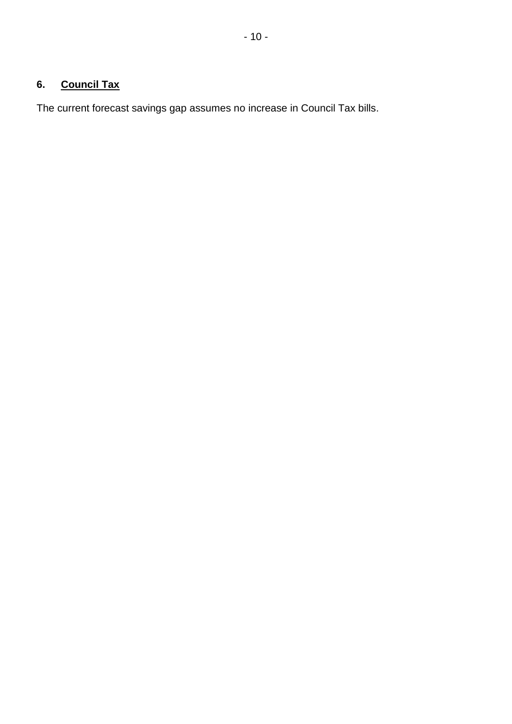# **6. Council Tax**

The current forecast savings gap assumes no increase in Council Tax bills.